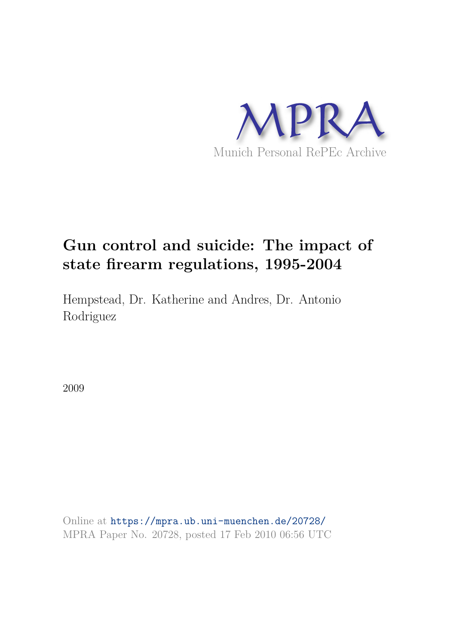

# **Gun control and suicide: The impact of state firearm regulations, 1995-2004**

Hempstead, Dr. Katherine and Andres, Dr. Antonio Rodriguez

2009

Online at https://mpra.ub.uni-muenchen.de/20728/ MPRA Paper No. 20728, posted 17 Feb 2010 06:56 UTC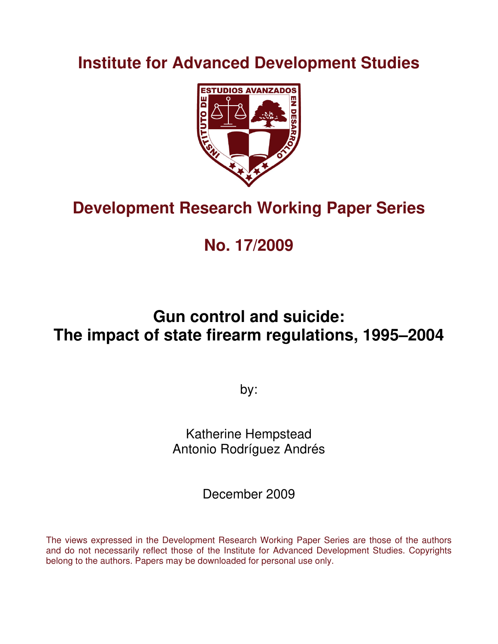### **Institute for Advanced Development Studies**



# **Development Research Working Paper Series**

### **No. 17/2009**

## **Gun control and suicide: The impact of state firearm regulations, 1995–2004**

by:

Katherine Hempstead Antonio Rodríguez Andrés

December 2009

The views expressed in the Development Research Working Paper Series are those of the authors and do not necessarily reflect those of the Institute for Advanced Development Studies. Copyrights belong to the authors. Papers may be downloaded for personal use only.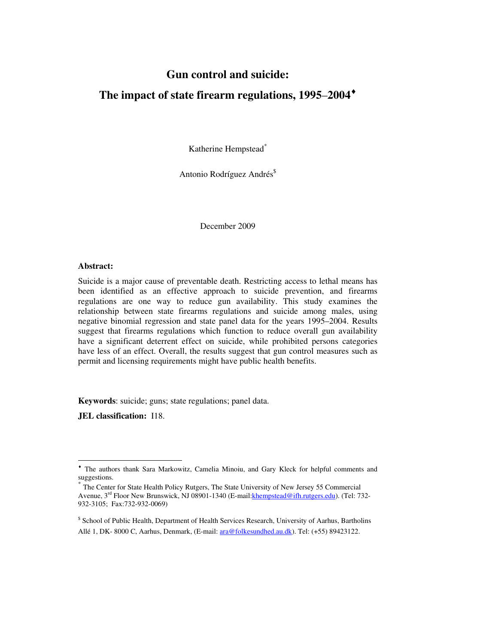### **Gun control and suicide:**

### **The impact of state firearm regulations, 1995**–**2004**♦

Katherine Hempstead\*

Antonio Rodríguez Andrés<sup>\$</sup>

December 2009

#### **Abstract:**

Suicide is a major cause of preventable death. Restricting access to lethal means has been identified as an effective approach to suicide prevention, and firearms regulations are one way to reduce gun availability. This study examines the relationship between state firearms regulations and suicide among males, using negative binomial regression and state panel data for the years 1995–2004. Results suggest that firearms regulations which function to reduce overall gun availability have a significant deterrent effect on suicide, while prohibited persons categories have less of an effect. Overall, the results suggest that gun control measures such as permit and licensing requirements might have public health benefits.

**Keywords**: suicide; guns; state regulations; panel data.

**JEL classification:** I18.

 $\overline{a}$ 

<sup>♦</sup> The authors thank Sara Markowitz, Camelia Minoiu, and Gary Kleck for helpful comments and suggestions.

<sup>\*</sup> The Center for State Health Policy Rutgers, The State University of New Jersey 55 Commercial Avenue, 3<sup>rd</sup> Floor New Brunswick, NJ 08901-1340 (E-mail:khempstead@ifh.rutgers.edu). (Tel: 732-932-3105; Fax:732-932-0069)

<sup>\$</sup> School of Public Health, Department of Health Services Research, University of Aarhus, Bartholins Allé 1, DK- 8000 C, Aarhus, Denmark, (E-mail: ara@folkesundhed.au.dk). Tel: (+55) 89423122.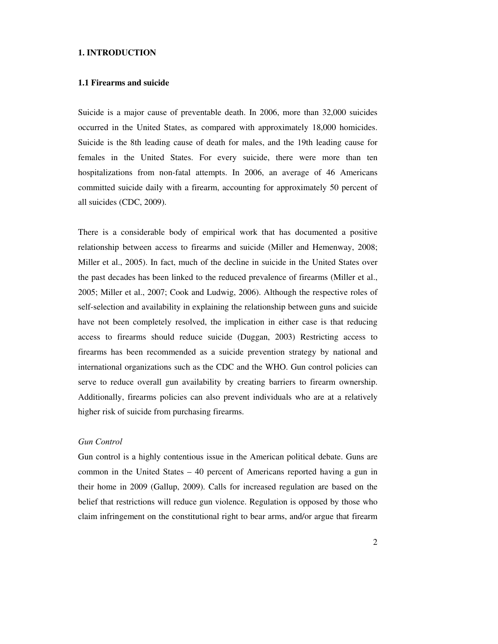#### **1. INTRODUCTION**

#### **1.1 Firearms and suicide**

Suicide is a major cause of preventable death. In 2006, more than 32,000 suicides occurred in the United States, as compared with approximately 18,000 homicides. Suicide is the 8th leading cause of death for males, and the 19th leading cause for females in the United States. For every suicide, there were more than ten hospitalizations from non-fatal attempts. In 2006, an average of 46 Americans committed suicide daily with a firearm, accounting for approximately 50 percent of all suicides (CDC, 2009).

There is a considerable body of empirical work that has documented a positive relationship between access to firearms and suicide (Miller and Hemenway, 2008; Miller et al., 2005). In fact, much of the decline in suicide in the United States over the past decades has been linked to the reduced prevalence of firearms (Miller et al., 2005; Miller et al., 2007; Cook and Ludwig, 2006). Although the respective roles of self-selection and availability in explaining the relationship between guns and suicide have not been completely resolved, the implication in either case is that reducing access to firearms should reduce suicide (Duggan, 2003) Restricting access to firearms has been recommended as a suicide prevention strategy by national and international organizations such as the CDC and the WHO. Gun control policies can serve to reduce overall gun availability by creating barriers to firearm ownership. Additionally, firearms policies can also prevent individuals who are at a relatively higher risk of suicide from purchasing firearms.

#### *Gun Control*

Gun control is a highly contentious issue in the American political debate. Guns are common in the United States – 40 percent of Americans reported having a gun in their home in 2009 (Gallup, 2009). Calls for increased regulation are based on the belief that restrictions will reduce gun violence. Regulation is opposed by those who claim infringement on the constitutional right to bear arms, and/or argue that firearm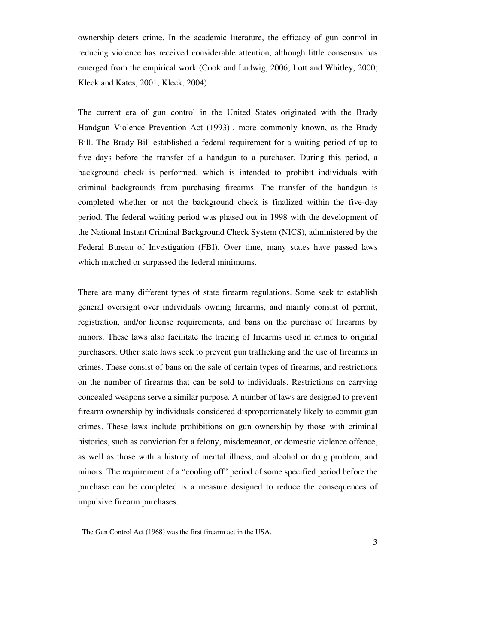ownership deters crime. In the academic literature, the efficacy of gun control in reducing violence has received considerable attention, although little consensus has emerged from the empirical work (Cook and Ludwig, 2006; Lott and Whitley, 2000; Kleck and Kates, 2001; Kleck, 2004).

The current era of gun control in the United States originated with the Brady Handgun Violence Prevention Act  $(1993)^1$ , more commonly known, as the Brady Bill. The Brady Bill established a federal requirement for a waiting period of up to five days before the transfer of a handgun to a purchaser. During this period, a background check is performed, which is intended to prohibit individuals with criminal backgrounds from purchasing firearms. The transfer of the handgun is completed whether or not the background check is finalized within the five-day period. The federal waiting period was phased out in 1998 with the development of the National Instant Criminal Background Check System (NICS), administered by the Federal Bureau of Investigation (FBI). Over time, many states have passed laws which matched or surpassed the federal minimums.

There are many different types of state firearm regulations. Some seek to establish general oversight over individuals owning firearms, and mainly consist of permit, registration, and/or license requirements, and bans on the purchase of firearms by minors. These laws also facilitate the tracing of firearms used in crimes to original purchasers. Other state laws seek to prevent gun trafficking and the use of firearms in crimes. These consist of bans on the sale of certain types of firearms, and restrictions on the number of firearms that can be sold to individuals. Restrictions on carrying concealed weapons serve a similar purpose. A number of laws are designed to prevent firearm ownership by individuals considered disproportionately likely to commit gun crimes. These laws include prohibitions on gun ownership by those with criminal histories, such as conviction for a felony, misdemeanor, or domestic violence offence, as well as those with a history of mental illness, and alcohol or drug problem, and minors. The requirement of a "cooling off" period of some specified period before the purchase can be completed is a measure designed to reduce the consequences of impulsive firearm purchases.

 1 The Gun Control Act (1968) was the first firearm act in the USA.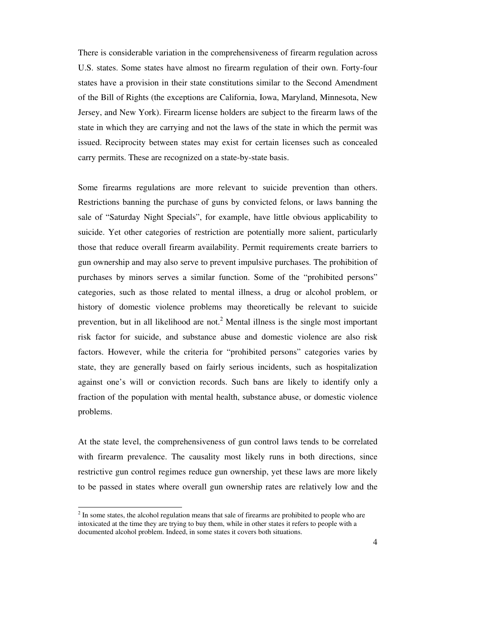There is considerable variation in the comprehensiveness of firearm regulation across U.S. states. Some states have almost no firearm regulation of their own. Forty-four states have a provision in their state constitutions similar to the Second Amendment of the Bill of Rights (the exceptions are California, Iowa, Maryland, Minnesota, New Jersey, and New York). Firearm license holders are subject to the firearm laws of the state in which they are carrying and not the laws of the state in which the permit was issued. Reciprocity between states may exist for certain licenses such as concealed carry permits. These are recognized on a state-by-state basis.

Some firearms regulations are more relevant to suicide prevention than others. Restrictions banning the purchase of guns by convicted felons, or laws banning the sale of "Saturday Night Specials", for example, have little obvious applicability to suicide. Yet other categories of restriction are potentially more salient, particularly those that reduce overall firearm availability. Permit requirements create barriers to gun ownership and may also serve to prevent impulsive purchases. The prohibition of purchases by minors serves a similar function. Some of the "prohibited persons" categories, such as those related to mental illness, a drug or alcohol problem, or history of domestic violence problems may theoretically be relevant to suicide prevention, but in all likelihood are not.<sup>2</sup> Mental illness is the single most important risk factor for suicide, and substance abuse and domestic violence are also risk factors. However, while the criteria for "prohibited persons" categories varies by state, they are generally based on fairly serious incidents, such as hospitalization against one's will or conviction records. Such bans are likely to identify only a fraction of the population with mental health, substance abuse, or domestic violence problems.

At the state level, the comprehensiveness of gun control laws tends to be correlated with firearm prevalence. The causality most likely runs in both directions, since restrictive gun control regimes reduce gun ownership, yet these laws are more likely to be passed in states where overall gun ownership rates are relatively low and the

 $\ddot{ }$ 

 $2<sup>2</sup>$  In some states, the alcohol regulation means that sale of firearms are prohibited to people who are intoxicated at the time they are trying to buy them, while in other states it refers to people with a documented alcohol problem. Indeed, in some states it covers both situations.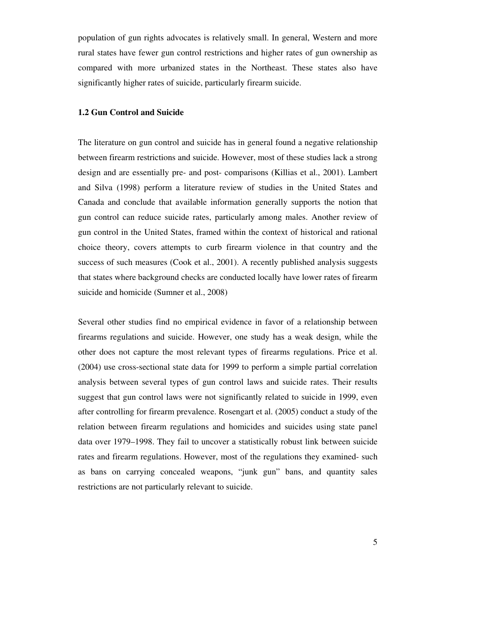population of gun rights advocates is relatively small. In general, Western and more rural states have fewer gun control restrictions and higher rates of gun ownership as compared with more urbanized states in the Northeast. These states also have significantly higher rates of suicide, particularly firearm suicide.

#### **1.2 Gun Control and Suicide**

The literature on gun control and suicide has in general found a negative relationship between firearm restrictions and suicide. However, most of these studies lack a strong design and are essentially pre- and post- comparisons (Killias et al., 2001). Lambert and Silva (1998) perform a literature review of studies in the United States and Canada and conclude that available information generally supports the notion that gun control can reduce suicide rates, particularly among males. Another review of gun control in the United States, framed within the context of historical and rational choice theory, covers attempts to curb firearm violence in that country and the success of such measures (Cook et al., 2001). A recently published analysis suggests that states where background checks are conducted locally have lower rates of firearm suicide and homicide (Sumner et al., 2008)

Several other studies find no empirical evidence in favor of a relationship between firearms regulations and suicide. However, one study has a weak design, while the other does not capture the most relevant types of firearms regulations. Price et al. (2004) use cross-sectional state data for 1999 to perform a simple partial correlation analysis between several types of gun control laws and suicide rates. Their results suggest that gun control laws were not significantly related to suicide in 1999, even after controlling for firearm prevalence. Rosengart et al. (2005) conduct a study of the relation between firearm regulations and homicides and suicides using state panel data over 1979–1998. They fail to uncover a statistically robust link between suicide rates and firearm regulations. However, most of the regulations they examined- such as bans on carrying concealed weapons, "junk gun" bans, and quantity sales restrictions are not particularly relevant to suicide.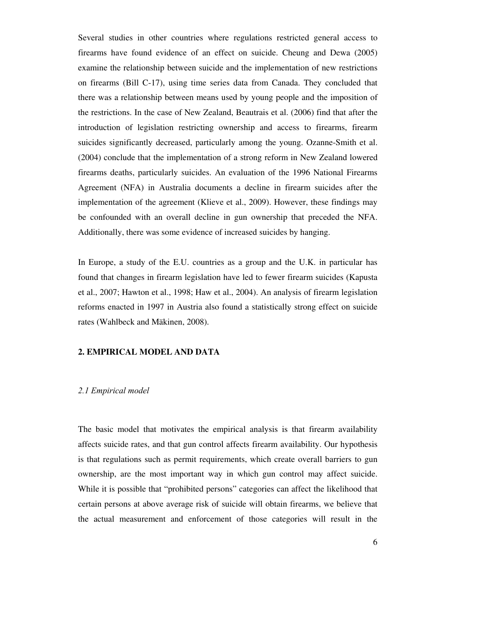Several studies in other countries where regulations restricted general access to firearms have found evidence of an effect on suicide. Cheung and Dewa (2005) examine the relationship between suicide and the implementation of new restrictions on firearms (Bill C-17), using time series data from Canada. They concluded that there was a relationship between means used by young people and the imposition of the restrictions. In the case of New Zealand, Beautrais et al. (2006) find that after the introduction of legislation restricting ownership and access to firearms, firearm suicides significantly decreased, particularly among the young. Ozanne-Smith et al. (2004) conclude that the implementation of a strong reform in New Zealand lowered firearms deaths, particularly suicides. An evaluation of the 1996 National Firearms Agreement (NFA) in Australia documents a decline in firearm suicides after the implementation of the agreement (Klieve et al., 2009). However, these findings may be confounded with an overall decline in gun ownership that preceded the NFA. Additionally, there was some evidence of increased suicides by hanging.

In Europe, a study of the E.U. countries as a group and the U.K. in particular has found that changes in firearm legislation have led to fewer firearm suicides (Kapusta et al., 2007; Hawton et al., 1998; Haw et al., 2004). An analysis of firearm legislation reforms enacted in 1997 in Austria also found a statistically strong effect on suicide rates (Wahlbeck and Mäkinen, 2008).

#### **2. EMPIRICAL MODEL AND DATA**

#### *2.1 Empirical model*

The basic model that motivates the empirical analysis is that firearm availability affects suicide rates, and that gun control affects firearm availability. Our hypothesis is that regulations such as permit requirements, which create overall barriers to gun ownership, are the most important way in which gun control may affect suicide. While it is possible that "prohibited persons" categories can affect the likelihood that certain persons at above average risk of suicide will obtain firearms, we believe that the actual measurement and enforcement of those categories will result in the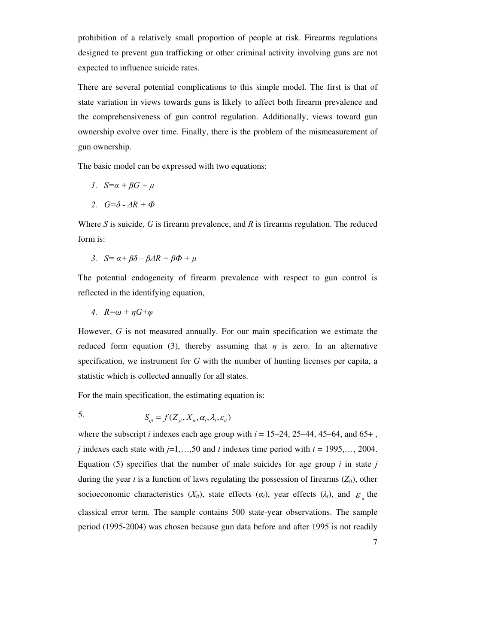prohibition of a relatively small proportion of people at risk. Firearms regulations designed to prevent gun trafficking or other criminal activity involving guns are not expected to influence suicide rates.

There are several potential complications to this simple model. The first is that of state variation in views towards guns is likely to affect both firearm prevalence and the comprehensiveness of gun control regulation. Additionally, views toward gun ownership evolve over time. Finally, there is the problem of the mismeasurement of gun ownership.

The basic model can be expressed with two equations:

$$
1. \quad S = \alpha + \beta G + \mu
$$

$$
2. \quad G=\delta - \Delta R + \Phi
$$

Where *S* is suicide, *G* is firearm prevalence, and *R* is firearms regulation. The reduced form is:

3. 
$$
S = \alpha + \beta \delta - \beta \Delta R + \beta \Phi + \mu
$$

The potential endogeneity of firearm prevalence with respect to gun control is reflected in the identifying equation,

4. 
$$
R = \omega + \eta G + \varphi
$$

However, *G* is not measured annually. For our main specification we estimate the reduced form equation (3), thereby assuming that  $\eta$  is zero. In an alternative specification, we instrument for *G* with the number of hunting licenses per capita, a statistic which is collected annually for all states.

For the main specification, the estimating equation is:

5. 
$$
S_{ijt} = f(Z_{jt}, X_{it}, \alpha_i, \lambda_t, \varepsilon_{it})
$$

where the subscript *i* indexes each age group with  $i = 15-24$ , 25-44, 45-64, and 65+, *j* indexes each state with *j*=1,…,50 and *t* indexes time period with *t* = 1995,…, 2004. Equation  $(5)$  specifies that the number of male suicides for age group *i* in state *j* during the year *t* is a function of laws regulating the possession of firearms  $(Z_{it})$ , other socioeconomic characteristics  $(X_{it})$ , state effects  $(a_i)$ , year effects  $(\lambda_t)$ , and  $\varepsilon$ <sub>*i*</sub> the classical error term. The sample contains 500 state-year observations. The sample period (1995-2004) was chosen because gun data before and after 1995 is not readily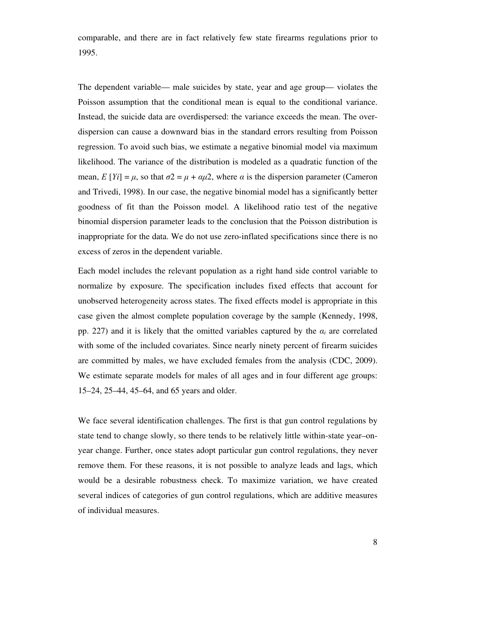comparable, and there are in fact relatively few state firearms regulations prior to 1995.

The dependent variable— male suicides by state, year and age group— violates the Poisson assumption that the conditional mean is equal to the conditional variance. Instead, the suicide data are overdispersed: the variance exceeds the mean. The overdispersion can cause a downward bias in the standard errors resulting from Poisson regression. To avoid such bias, we estimate a negative binomial model via maximum likelihood. The variance of the distribution is modeled as a quadratic function of the mean,  $E[Y_i] = \mu$ , so that  $\sigma^2 = \mu + \alpha \mu^2$ , where  $\alpha$  is the dispersion parameter (Cameron and Trivedi, 1998). In our case, the negative binomial model has a significantly better goodness of fit than the Poisson model. A likelihood ratio test of the negative binomial dispersion parameter leads to the conclusion that the Poisson distribution is inappropriate for the data. We do not use zero-inflated specifications since there is no excess of zeros in the dependent variable.

Each model includes the relevant population as a right hand side control variable to normalize by exposure. The specification includes fixed effects that account for unobserved heterogeneity across states. The fixed effects model is appropriate in this case given the almost complete population coverage by the sample (Kennedy, 1998, pp. 227) and it is likely that the omitted variables captured by the  $\alpha_i$  are correlated with some of the included covariates. Since nearly ninety percent of firearm suicides are committed by males, we have excluded females from the analysis (CDC, 2009). We estimate separate models for males of all ages and in four different age groups: 15–24, 25–44, 45–64, and 65 years and older.

We face several identification challenges. The first is that gun control regulations by state tend to change slowly, so there tends to be relatively little within-state year–onyear change. Further, once states adopt particular gun control regulations, they never remove them. For these reasons, it is not possible to analyze leads and lags, which would be a desirable robustness check. To maximize variation, we have created several indices of categories of gun control regulations, which are additive measures of individual measures.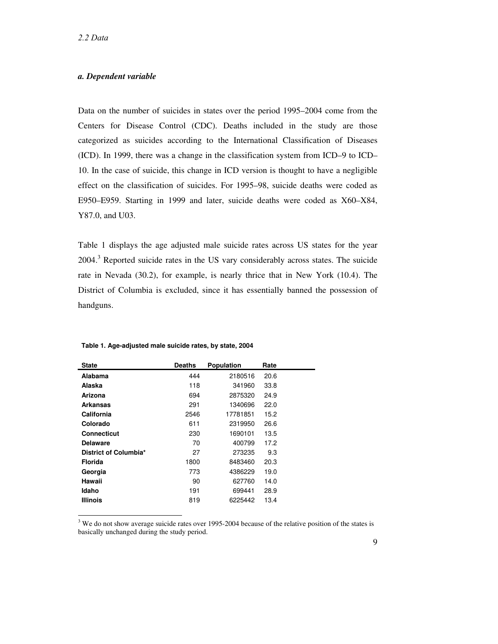#### *a. Dependent variable*

Data on the number of suicides in states over the period 1995–2004 come from the Centers for Disease Control (CDC). Deaths included in the study are those categorized as suicides according to the International Classification of Diseases (ICD). In 1999, there was a change in the classification system from ICD–9 to ICD– 10. In the case of suicide, this change in ICD version is thought to have a negligible effect on the classification of suicides. For 1995–98, suicide deaths were coded as E950–E959. Starting in 1999 and later, suicide deaths were coded as X60–X84, Y87.0, and U03.

Table 1 displays the age adjusted male suicide rates across US states for the year  $2004$ .<sup>3</sup> Reported suicide rates in the US vary considerably across states. The suicide rate in Nevada (30.2), for example, is nearly thrice that in New York (10.4). The District of Columbia is excluded, since it has essentially banned the possession of handguns.

| State                 | Deaths | <b>Population</b> | Rate |
|-----------------------|--------|-------------------|------|
| Alabama               | 444    | 2180516           | 20.6 |
| Alaska                | 118    | 341960            | 33.8 |
| Arizona               | 694    | 2875320           | 24.9 |
| Arkansas              | 291    | 1340696           | 22.0 |
| California            | 2546   | 17781851          | 15.2 |
| Colorado              | 611    | 2319950           | 26.6 |
| <b>Connecticut</b>    | 230    | 1690101           | 13.5 |
| <b>Delaware</b>       | 70     | 400799            | 17.2 |
| District of Columbia* | 27     | 273235            | 9.3  |
| Florida               | 1800   | 8483460           | 20.3 |
| Georgia               | 773    | 4386229           | 19.0 |
| Hawaii                | 90     | 627760            | 14.0 |
| Idaho                 | 191    | 699441            | 28.9 |
| <b>Illinois</b>       | 819    | 6225442           | 13.4 |

#### **Table 1. Age-adjusted male suicide rates, by state, 2004**

<sup>3</sup> We do not show average suicide rates over 1995-2004 because of the relative position of the states is basically unchanged during the study period.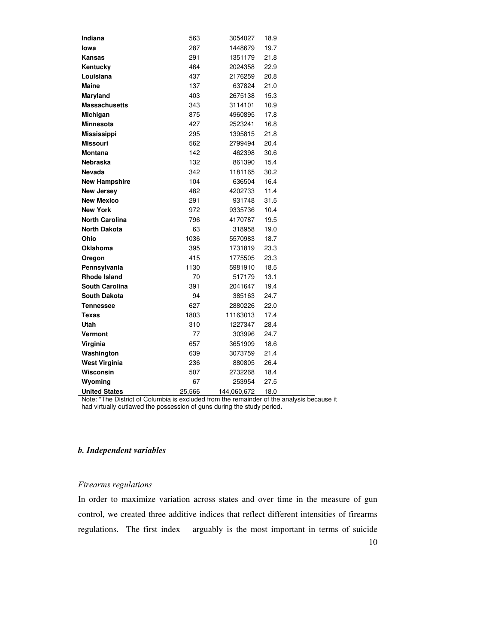| Indiana               | 563    | 3054027     | 18.9 |
|-----------------------|--------|-------------|------|
| lowa                  | 287    | 1448679     | 19.7 |
| Kansas                | 291    | 1351179     | 21.8 |
| Kentucky              | 464    | 2024358     | 22.9 |
| Louisiana             | 437    | 2176259     | 20.8 |
| <b>Maine</b>          | 137    | 637824      | 21.0 |
| Maryland              | 403    | 2675138     | 15.3 |
| <b>Massachusetts</b>  | 343    | 3114101     | 10.9 |
| Michigan              | 875    | 4960895     | 17.8 |
| Minnesota             | 427    | 2523241     | 16.8 |
| <b>Mississippi</b>    | 295    | 1395815     | 21.8 |
| <b>Missouri</b>       | 562    | 2799494     | 20.4 |
| <b>Montana</b>        | 142    | 462398      | 30.6 |
| <b>Nebraska</b>       | 132    | 861390      | 15.4 |
| <b>Nevada</b>         | 342    | 1181165     | 30.2 |
| <b>New Hampshire</b>  | 104    | 636504      | 16.4 |
| <b>New Jersey</b>     | 482    | 4202733     | 11.4 |
| <b>New Mexico</b>     | 291    | 931748      | 31.5 |
| <b>New York</b>       | 972    | 9335736     | 10.4 |
| <b>North Carolina</b> | 796    | 4170787     | 19.5 |
| <b>North Dakota</b>   | 63     | 318958      | 19.0 |
| Ohio                  | 1036   | 5570983     | 18.7 |
| <b>Oklahoma</b>       | 395    | 1731819     | 23.3 |
| Oregon                | 415    | 1775505     | 23.3 |
| Pennsylvania          | 1130   | 5981910     | 18.5 |
| <b>Rhode Island</b>   | 70     | 517179      | 13.1 |
| <b>South Carolina</b> | 391    | 2041647     | 19.4 |
| <b>South Dakota</b>   | 94     | 385163      | 24.7 |
| Tennessee             | 627    | 2880226     | 22.0 |
| Texas                 | 1803   | 11163013    | 17.4 |
| Utah                  | 310    | 1227347     | 28.4 |
| Vermont               | 77     | 303996      | 24.7 |
| Virginia              | 657    | 3651909     | 18.6 |
| Washington            | 639    | 3073759     | 21.4 |
| West Virginia         | 236    | 880805      | 26.4 |
| Wisconsin             | 507    | 2732268     | 18.4 |
| Wyoming               | 67     | 253954      | 27.5 |
| <b>United States</b>  | 25,566 | 144,060,672 | 18.0 |

Note: \*The District of Columbia is excluded from the remainder of the analysis because it had virtually outlawed the possession of guns during the study period**.** 

### *b. Independent variables*

#### *Firearms regulations*

In order to maximize variation across states and over time in the measure of gun control, we created three additive indices that reflect different intensities of firearms regulations. The first index ––arguably is the most important in terms of suicide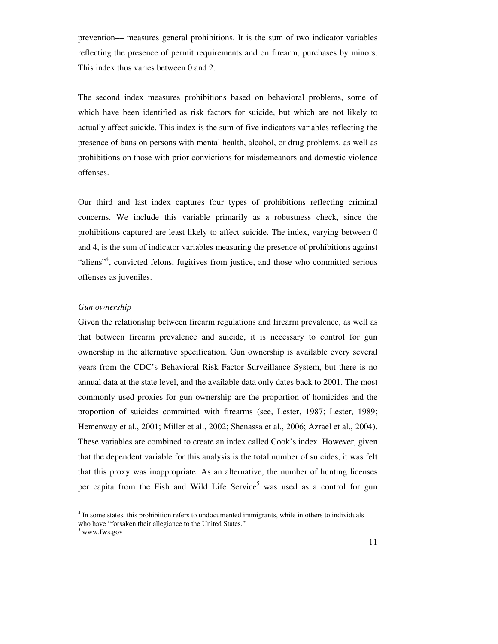prevention–– measures general prohibitions. It is the sum of two indicator variables reflecting the presence of permit requirements and on firearm, purchases by minors. This index thus varies between 0 and 2.

The second index measures prohibitions based on behavioral problems, some of which have been identified as risk factors for suicide, but which are not likely to actually affect suicide. This index is the sum of five indicators variables reflecting the presence of bans on persons with mental health, alcohol, or drug problems, as well as prohibitions on those with prior convictions for misdemeanors and domestic violence offenses.

Our third and last index captures four types of prohibitions reflecting criminal concerns. We include this variable primarily as a robustness check, since the prohibitions captured are least likely to affect suicide. The index, varying between 0 and 4, is the sum of indicator variables measuring the presence of prohibitions against "aliens"<sup>4</sup>, convicted felons, fugitives from justice, and those who committed serious offenses as juveniles.

#### *Gun ownership*

Given the relationship between firearm regulations and firearm prevalence, as well as that between firearm prevalence and suicide, it is necessary to control for gun ownership in the alternative specification. Gun ownership is available every several years from the CDC's Behavioral Risk Factor Surveillance System, but there is no annual data at the state level, and the available data only dates back to 2001. The most commonly used proxies for gun ownership are the proportion of homicides and the proportion of suicides committed with firearms (see, Lester, 1987; Lester, 1989; Hemenway et al., 2001; Miller et al., 2002; Shenassa et al., 2006; Azrael et al., 2004). These variables are combined to create an index called Cook's index. However, given that the dependent variable for this analysis is the total number of suicides, it was felt that this proxy was inappropriate. As an alternative, the number of hunting licenses per capita from the Fish and Wild Life Service<sup>5</sup> was used as a control for gun

 $\ddot{ }$ 

<sup>&</sup>lt;sup>4</sup> In some states, this prohibition refers to undocumented immigrants, while in others to individuals who have "forsaken their allegiance to the United States."

<sup>5</sup> www.fws.gov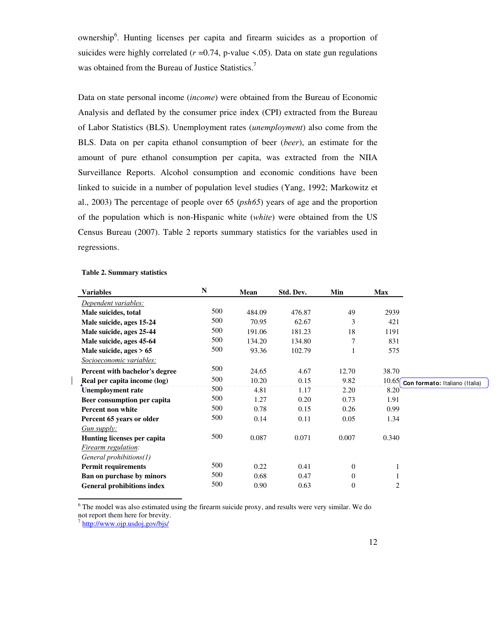ownership<sup>6</sup>. Hunting licenses per capita and firearm suicides as a proportion of suicides were highly correlated  $(r=0.74, p-value < 0.05)$ . Data on state gun regulations was obtained from the Bureau of Justice Statistics.<sup>7</sup>

Data on state personal income (*income*) were obtained from the Bureau of Economic Analysis and deflated by the consumer price index (CPI) extracted from the Bureau of Labor Statistics (BLS). Unemployment rates (*unemployment*) also come from the BLS. Data on per capita ethanol consumption of beer (*beer*), an estimate for the amount of pure ethanol consumption per capita, was extracted from the NIIA Surveillance Reports. Alcohol consumption and economic conditions have been linked to suicide in a number of population level studies (Yang, 1992; Markowitz et al., 2003) The percentage of people over 65 (*psh65*) years of age and the proportion of the population which is non-Hispanic white (*white*) were obtained from the US Census Bureau (2007). Table 2 reports summary statistics for the variables used in regressions.

| <b>Variables</b>                  | $\mathbb N$ | Mean   | Std. Dev. | Min              | <b>Max</b>   |                                |
|-----------------------------------|-------------|--------|-----------|------------------|--------------|--------------------------------|
| Dependent variables:              |             |        |           |                  |              |                                |
| Male suicides, total              | 500         | 484.09 | 476.87    | 49               | 2939         |                                |
| Male suicide, ages 15-24          | 500         | 70.95  | 62.67     | 3                | 421          |                                |
| Male suicide, ages 25-44          | 500         | 191.06 | 181.23    | 18               | 1191         |                                |
| Male suicide, ages 45-64          | 500         | 134.20 | 134.80    | 7                | 831          |                                |
| Male suicide, ages $> 65$         | 500         | 93.36  | 102.79    | 1                | 575          |                                |
| Socioeconomic variables:          |             |        |           |                  |              |                                |
| Percent with bachelor's degree    | 500         | 24.65  | 4.67      | 12.70            | 38.70        |                                |
| Real per capita income (log)      | 500         | 10.20  | 0.15      | 9.82             | 10.65f       | Con formato: Italiano (Italia) |
| <b>Unemployment</b> rate          | 500         | 4.81   | 1.17      | 2.20             | 8.20         |                                |
| Beer consumption per capita       | 500         | 1.27   | 0.20      | 0.73             | 1.91         |                                |
| Percent non white                 | 500         | 0.78   | 0.15      | 0.26             | 0.99         |                                |
| Percent 65 years or older         | 500         | 0.14   | 0.11      | 0.05             | 1.34         |                                |
| Gun supply:                       |             |        |           |                  |              |                                |
| Hunting licenses per capita       | 500         | 0.087  | 0.071     | 0.007            | 0.340        |                                |
| Firearm regulation:               |             |        |           |                  |              |                                |
| General prohibitions(1)           |             |        |           |                  |              |                                |
| <b>Permit requirements</b>        | 500         | 0.22   | 0.41      | $\boldsymbol{0}$ | 1            |                                |
| Ban on purchase by minors         | 500         | 0.68   | 0.47      | 0                | $\mathbf{1}$ |                                |
| <b>General prohibitions index</b> | 500         | 0.90   | 0.63      | $\boldsymbol{0}$ | 2            |                                |

#### **Table 2. Summary statistics**

 $\overline{\phantom{a}}$ 

 6 The model was also estimated using the firearm suicide proxy, and results were very similar. We do not report them here for brevity.

<sup>7</sup> http://www.ojp.usdoj.gov/bjs/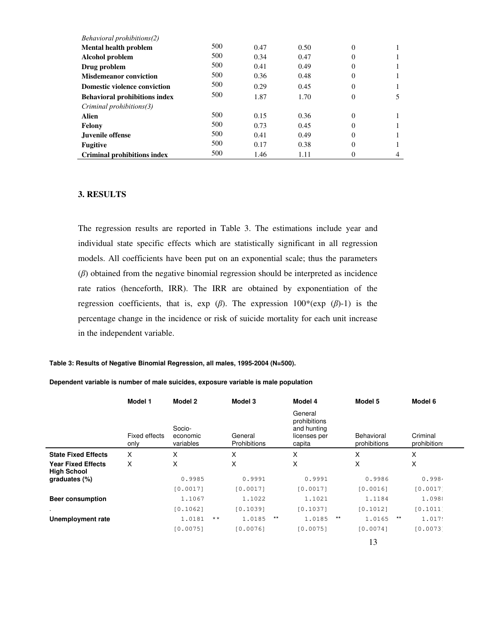| Behavioral prohibitions(2)           |     |      |      |          |  |
|--------------------------------------|-----|------|------|----------|--|
| <b>Mental health problem</b>         | 500 | 0.47 | 0.50 | $\Omega$ |  |
| Alcohol problem                      | 500 | 0.34 | 0.47 | $\Omega$ |  |
| Drug problem                         | 500 | 0.41 | 0.49 | $\Omega$ |  |
| <b>Misdemeanor conviction</b>        | 500 | 0.36 | 0.48 | $\Omega$ |  |
| <b>Domestic violence conviction</b>  | 500 | 0.29 | 0.45 | $\theta$ |  |
| <b>Behavioral prohibitions index</b> | 500 | 1.87 | 1.70 | $\Omega$ |  |
| Criminal prohibitions(3)             |     |      |      |          |  |
| Alien                                | 500 | 0.15 | 0.36 | $\Omega$ |  |
| Felony                               | 500 | 0.73 | 0.45 | $\Omega$ |  |
| Juvenile offense                     | 500 | 0.41 | 0.49 | $\Omega$ |  |
| <b>Fugitive</b>                      | 500 | 0.17 | 0.38 | $\Omega$ |  |
| <b>Criminal prohibitions index</b>   | 500 | 1.46 | 1.11 | 0        |  |

### **3. RESULTS**

The regression results are reported in Table 3. The estimations include year and individual state specific effects which are statistically significant in all regression models. All coefficients have been put on an exponential scale; thus the parameters (*β*) obtained from the negative binomial regression should be interpreted as incidence rate ratios (henceforth, IRR). The IRR are obtained by exponentiation of the regression coefficients, that is, exp (*β*). The expression 100\*(exp (*β*)-1) is the percentage change in the incidence or risk of suicide mortality for each unit increase in the independent variable.

#### **Table 3: Results of Negative Binomial Regression, all males, 1995-2004 (N=500).**

#### **Dependent variable is number of male suicides, exposure variable is male population**

|                                                 | Model 1               | Model 2                         |              | Model 3                 |       | Model 4                                                          |       | Model 5                    |       | Model 6                  |  |
|-------------------------------------------------|-----------------------|---------------------------------|--------------|-------------------------|-------|------------------------------------------------------------------|-------|----------------------------|-------|--------------------------|--|
|                                                 | Fixed effects<br>only | Socio-<br>economic<br>variables |              | General<br>Prohibitions |       | General<br>prohibitions<br>and hunting<br>licenses per<br>capita |       | Behavioral<br>prohibitions |       | Criminal<br>prohibition: |  |
| <b>State Fixed Effects</b>                      | X                     | X                               |              | X                       |       | X                                                                |       | X                          |       | X                        |  |
| <b>Year Fixed Effects</b><br><b>High School</b> | X                     | X                               |              | X                       |       | X                                                                |       | X                          |       | X                        |  |
| graduates $(\%)$                                |                       | 0.9985                          |              | 0.9991                  |       | 0.9991                                                           |       | 0.9986                     |       | 0.9984                   |  |
|                                                 |                       | [0.0017]                        |              | [0.0017]                |       | [0.0017]                                                         |       | [0.0016]                   |       | [0.0017]                 |  |
| <b>Beer consumption</b>                         |                       | 1,1067                          |              | 1.1022                  |       | 1.1021                                                           |       | 1.1184                     |       | 1.0988                   |  |
| $\bullet$                                       |                       | [0.1062]                        |              | [0.1039]                |       | [0.1037]                                                         |       | [0.1012]                   |       | [0.1011]                 |  |
| Unemployment rate                               |                       | 1.0181                          | $\star\star$ | 1.0185                  | $***$ | 1.0185                                                           | $***$ | 1.0165                     | $***$ | 1.0179                   |  |
|                                                 |                       | [0.0075]                        |              | [0.0076]                |       | [0.0075]                                                         |       | [0.0074]                   |       | [0.0073]                 |  |
|                                                 |                       |                                 |              |                         |       |                                                                  |       | 13                         |       |                          |  |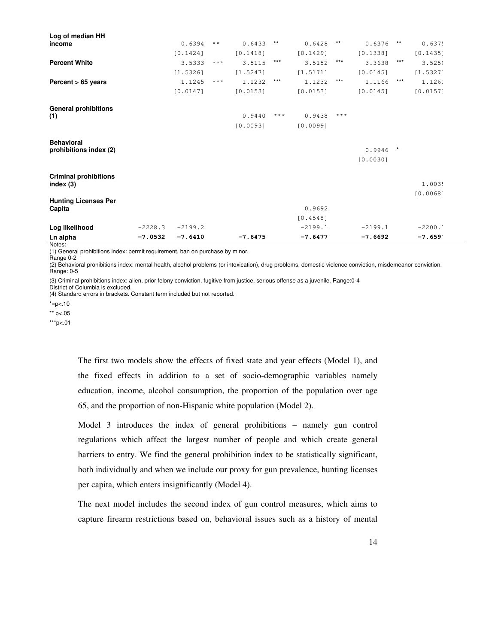| Log of median HH             |           |           |       |           |       |           |       |           |         |            |  |
|------------------------------|-----------|-----------|-------|-----------|-------|-----------|-------|-----------|---------|------------|--|
| income                       |           | 0.6394    | $***$ | 0.6433    | $***$ | 0.6428    | $***$ | 0.6376    | $***$   | 0.637!     |  |
|                              |           | [0.1424]  |       | [0.1418]  |       | [0.1429]  |       | [0.1338]  |         | [0.1435]   |  |
| <b>Percent White</b>         |           | 3.5333    | $***$ | 3.5115    | $***$ | 3.5152    | $***$ | 3.3638    | $***$   | 3.5250     |  |
|                              |           | [1.5326]  |       | [1.5247]  |       | [1.5171]  |       | [0.0145]  |         | $[1.5327]$ |  |
| Percent $> 65$ years         |           | 1.1245    | $***$ | 1.1232    | $***$ | 1.1232    | $***$ | 1.1166    | $***$   | 1.126.     |  |
|                              |           | [0.0147]  |       | [0.0153]  |       | [0.0153]  |       | [0.0145]  |         | [0.0157]   |  |
| <b>General prohibitions</b>  |           |           |       |           |       |           |       |           |         |            |  |
| (1)                          |           |           |       | 0.9440    | $***$ | 0.9438    | $***$ |           |         |            |  |
|                              |           |           |       | [0.0093]  |       | [0.0099]  |       |           |         |            |  |
| <b>Behavioral</b>            |           |           |       |           |       |           |       |           |         |            |  |
| prohibitions index (2)       |           |           |       |           |       |           |       | 0.9946    | $\star$ |            |  |
|                              |           |           |       |           |       |           |       | [0.0030]  |         |            |  |
| <b>Criminal prohibitions</b> |           |           |       |           |       |           |       |           |         |            |  |
| index $(3)$                  |           |           |       |           |       |           |       |           |         | 1.003!     |  |
|                              |           |           |       |           |       |           |       |           |         | [0.0068]   |  |
| <b>Hunting Licenses Per</b>  |           |           |       |           |       |           |       |           |         |            |  |
| Capita                       |           |           |       |           |       | 0.9692    |       |           |         |            |  |
|                              |           |           |       |           |       | [0.4548]  |       |           |         |            |  |
| Log likelihood               | $-2228.3$ | $-2199.2$ |       |           |       | $-2199.1$ |       | $-2199.1$ |         | $-2200$ .  |  |
| Ln alpha                     | $-7.0532$ | $-7.6410$ |       | $-7.6475$ |       | $-7.6477$ |       | $-7.6692$ |         | $-7.659'$  |  |

Notes:

(1) General prohibitions index: permit requirement, ban on purchase by minor. Range 0-2

(2) Behavioral prohibitions index: mental health, alcohol problems (or intoxication), drug problems, domestic violence conviction, misdemeanor conviction. Range: 0-5

(3) Criminal prohibitions index: alien, prior felony conviction, fugitive from justice, serious offense as a juvenile. Range:0-4

District of Columbia is excluded.

(4) Standard errors in brackets. Constant term included but not reported.

 $* = p < .10$ 

\*\* p<.05

\*\*\*p<.01

The first two models show the effects of fixed state and year effects (Model 1), and the fixed effects in addition to a set of socio-demographic variables namely education, income, alcohol consumption, the proportion of the population over age 65, and the proportion of non-Hispanic white population (Model 2).

Model 3 introduces the index of general prohibitions – namely gun control regulations which affect the largest number of people and which create general barriers to entry. We find the general prohibition index to be statistically significant, both individually and when we include our proxy for gun prevalence, hunting licenses per capita, which enters insignificantly (Model 4).

The next model includes the second index of gun control measures, which aims to capture firearm restrictions based on, behavioral issues such as a history of mental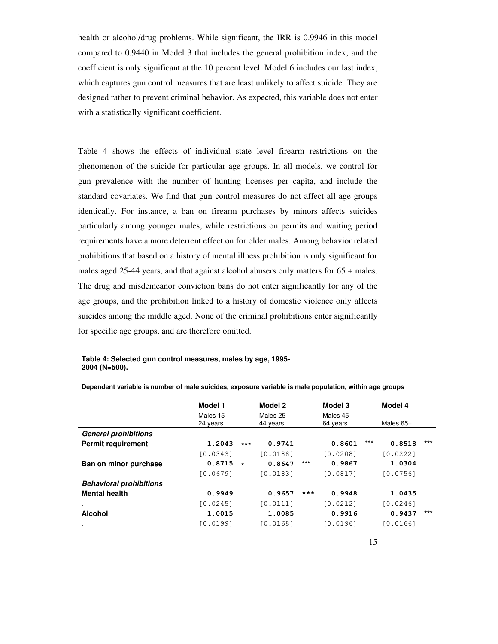health or alcohol/drug problems. While significant, the IRR is 0.9946 in this model compared to 0.9440 in Model 3 that includes the general prohibition index; and the coefficient is only significant at the 10 percent level. Model 6 includes our last index, which captures gun control measures that are least unlikely to affect suicide. They are designed rather to prevent criminal behavior. As expected, this variable does not enter with a statistically significant coefficient.

Table 4 shows the effects of individual state level firearm restrictions on the phenomenon of the suicide for particular age groups. In all models, we control for gun prevalence with the number of hunting licenses per capita, and include the standard covariates. We find that gun control measures do not affect all age groups identically. For instance, a ban on firearm purchases by minors affects suicides particularly among younger males, while restrictions on permits and waiting period requirements have a more deterrent effect on for older males. Among behavior related prohibitions that based on a history of mental illness prohibition is only significant for males aged 25-44 years, and that against alcohol abusers only matters for 65 + males. The drug and misdemeanor conviction bans do not enter significantly for any of the age groups, and the prohibition linked to a history of domestic violence only affects suicides among the middle aged. None of the criminal prohibitions enter significantly for specific age groups, and are therefore omitted.

#### **Table 4: Selected gun control measures, males by age, 1995- 2004 (N=500).**

|                                | Model 1               |                       | Model 2  |                       | Model 3  | Model 4     |          |       |  |
|--------------------------------|-----------------------|-----------------------|----------|-----------------------|----------|-------------|----------|-------|--|
|                                | Males 15-<br>24 years | Males 25-<br>44 years |          | Males 45-<br>64 years |          | Males $65+$ |          |       |  |
| <b>General prohibitions</b>    |                       |                       |          |                       |          |             |          |       |  |
| <b>Permit requirement</b>      | 1.2043                | $***$                 | 0.9741   |                       | 0.8601   | $***$       | 0.8518   | $***$ |  |
| $\blacksquare$                 | [0.0343]              |                       | [0.0188] |                       | [0.0208] |             | [0.0222] |       |  |
| Ban on minor purchase          | 0.8715                | $\star$               | 0.8647   | $***$                 | 0.9867   |             | 1.0304   |       |  |
|                                | [0.0679]              |                       | [0.0183] |                       | [0.0817] |             | [0.0756] |       |  |
| <b>Behavioral prohibitions</b> |                       |                       |          |                       |          |             |          |       |  |
| <b>Mental health</b>           | 0.9949                |                       | 0.9657   | ***                   | 0.9948   |             | 1.0435   |       |  |
| $\blacksquare$                 | [0.0245]              |                       | [0.0111] |                       | 10.02121 |             | [0.0246] |       |  |
| <b>Alcohol</b>                 | 1.0015                |                       | 1.0085   |                       | 0.9916   |             | 0.9437   | $***$ |  |
| $\cdot$                        | [0.0199]              |                       | [0.0168] |                       | [0.0196] |             | [0.0166] |       |  |

**Dependent variable is number of male suicides, exposure variable is male population, within age groups**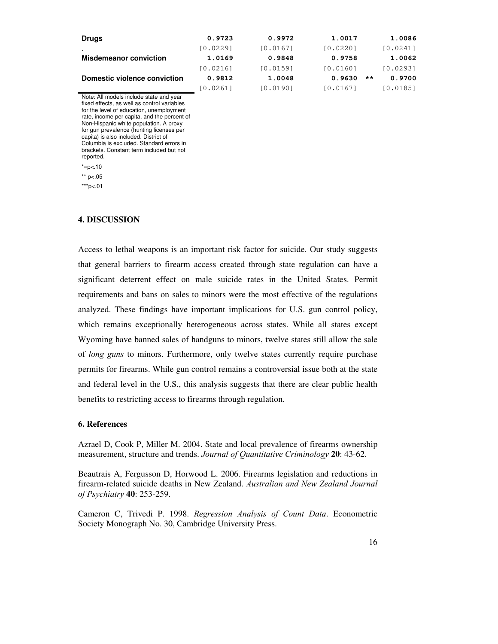| <b>Drugs</b>                  | 0.9723   | 0.9972   | 1.0017   |       | 1.0086   |
|-------------------------------|----------|----------|----------|-------|----------|
| $\cdot$                       | [0.0229] | [0.0167] | [0.0220] |       | [0.0241] |
| <b>Misdemeanor conviction</b> | 1.0169   | 0.9848   | 0.9758   |       | 1.0062   |
|                               | [0.0216] | [0.0159] | [0.0160] |       | [0.0293] |
| Domestic violence conviction  | 0.9812   | 1.0048   | 0.9630   | $* *$ | 0.9700   |
|                               | [0.0261] | [0.0190] | [0.0167] |       | [0.0185] |

Note: All models include state and year fixed effects, as well as control variables for the level of education, unemployment rate, income per capita, and the percent of Non-Hispanic white population. A proxy for gun prevalence (hunting licenses per capita) is also included. District of Columbia is excluded. Standard errors in brackets. Constant term included but not reported.  $* = p < .10$  $**$  p<.05

 $***p<.01$ 

**4. DISCUSSION** 

Access to lethal weapons is an important risk factor for suicide. Our study suggests that general barriers to firearm access created through state regulation can have a significant deterrent effect on male suicide rates in the United States. Permit requirements and bans on sales to minors were the most effective of the regulations analyzed. These findings have important implications for U.S. gun control policy, which remains exceptionally heterogeneous across states. While all states except Wyoming have banned sales of handguns to minors, twelve states still allow the sale of *long guns* to minors. Furthermore, only twelve states currently require purchase permits for firearms. While gun control remains a controversial issue both at the state and federal level in the U.S., this analysis suggests that there are clear public health benefits to restricting access to firearms through regulation.

#### **6. References**

Azrael D, Cook P, Miller M. 2004. State and local prevalence of firearms ownership measurement, structure and trends. *Journal of Quantitative Criminology* **20**: 43-62.

Beautrais A, Fergusson D, Horwood L. 2006. Firearms legislation and reductions in firearm-related suicide deaths in New Zealand. *Australian and New Zealand Journal of Psychiatry* **40**: 253-259.

Cameron C, Trivedi P. 1998. *Regression Analysis of Count Data*. Econometric Society Monograph No. 30, Cambridge University Press.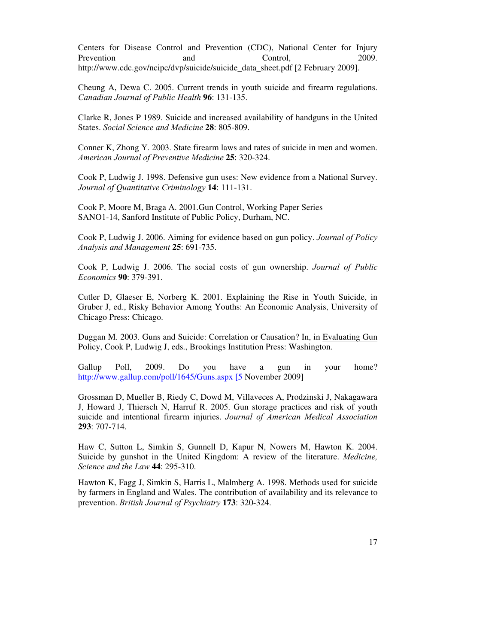Centers for Disease Control and Prevention (CDC), National Center for Injury Prevention and Control, 2009. http://www.cdc.gov/ncipc/dvp/suicide/suicide\_data\_sheet.pdf [2 February 2009].

Cheung A, Dewa C. 2005. Current trends in youth suicide and firearm regulations. *Canadian Journal of Public Health* **96**: 131-135.

Clarke R, Jones P 1989. Suicide and increased availability of handguns in the United States. *Social Science and Medicine* **28**: 805-809.

Conner K, Zhong Y. 2003. State firearm laws and rates of suicide in men and women. *American Journal of Preventive Medicine* **25**: 320-324.

Cook P, Ludwig J. 1998. Defensive gun uses: New evidence from a National Survey. *Journal of Quantitative Criminology* **14**: 111-131.

Cook P, Moore M, Braga A. 2001.Gun Control, Working Paper Series SANO1-14, Sanford Institute of Public Policy, Durham, NC.

Cook P, Ludwig J. 2006. Aiming for evidence based on gun policy. *Journal of Policy Analysis and Management* **25**: 691-735.

Cook P, Ludwig J. 2006. The social costs of gun ownership. *Journal of Public Economics* **90**: 379-391.

Cutler D, Glaeser E, Norberg K. 2001. Explaining the Rise in Youth Suicide, in Gruber J, ed., Risky Behavior Among Youths: An Economic Analysis, University of Chicago Press: Chicago.

Duggan M. 2003. Guns and Suicide: Correlation or Causation? In, in Evaluating Gun Policy, Cook P, Ludwig J, eds., Brookings Institution Press: Washington.

Gallup Poll, 2009. Do you have a gun in your home? http://www.gallup.com/poll/1645/Guns.aspx [5 November 2009]

Grossman D, Mueller B, Riedy C, Dowd M, Villaveces A, Prodzinski J, Nakagawara J, Howard J, Thiersch N, Harruf R. 2005. Gun storage practices and risk of youth suicide and intentional firearm injuries. *Journal of American Medical Association* **293**: 707-714.

Haw C, Sutton L, Simkin S, Gunnell D, Kapur N, Nowers M, Hawton K. 2004. Suicide by gunshot in the United Kingdom: A review of the literature. *Medicine, Science and the Law* **44**: 295-310.

Hawton K, Fagg J, Simkin S, Harris L, Malmberg A. 1998. Methods used for suicide by farmers in England and Wales. The contribution of availability and its relevance to prevention. *British Journal of Psychiatry* **173**: 320-324.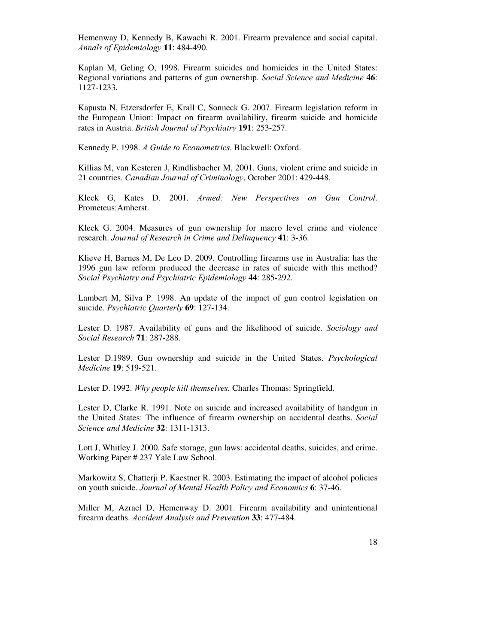Hemenway D, Kennedy B, Kawachi R. 2001. Firearm prevalence and social capital. *Annals of Epidemiology* **11**: 484-490.

Kaplan M, Geling O, 1998. Firearm suicides and homicides in the United States: Regional variations and patterns of gun ownership. *Social Science and Medicine* **46**: 1127-1233.

Kapusta N, Etzersdorfer E, Krall C, Sonneck G. 2007. Firearm legislation reform in the European Union: Impact on firearm availability, firearm suicide and homicide rates in Austria. *British Journal of Psychiatry* **191**: 253-257.

Kennedy P. 1998. *A Guide to Econometrics*. Blackwell: Oxford.

Killias M, van Kesteren J, Rindlisbacher M, 2001. Guns, violent crime and suicide in 21 countries. *Canadian Journal of Criminology*, October 2001: 429-448.

Kleck G, Kates D. 2001. *Armed: New Perspectives on Gun Control*. Prometeus:Amherst.

Kleck G. 2004. Measures of gun ownership for macro level crime and violence research. *Journal of Research in Crime and Delinquency* **41**: 3-36.

Klieve H, Barnes M, De Leo D. 2009. Controlling firearms use in Australia: has the 1996 gun law reform produced the decrease in rates of suicide with this method? *Social Psychiatry and Psychiatric Epidemiology* **44**: 285-292.

Lambert M, Silva P. 1998. An update of the impact of gun control legislation on suicide*. Psychiatric Quarterly* **69**: 127-134.

Lester D. 1987. Availability of guns and the likelihood of suicide. *Sociology and Social Research* **71**: 287-288.

Lester D.1989. Gun ownership and suicide in the United States. *Psychological Medicine* **19**: 519-521.

Lester D. 1992. *Why people kill themselves.* Charles Thomas: Springfield.

Lester D, Clarke R. 1991. Note on suicide and increased availability of handgun in the United States: The influence of firearm ownership on accidental deaths. *Social Science and Medicine* **32**: 1311-1313.

Lott J, Whitley J. 2000. Safe storage, gun laws: accidental deaths, suicides, and crime. Working Paper # 237 Yale Law School.

Markowitz S, Chatterji P, Kaestner R. 2003. Estimating the impact of alcohol policies on youth suicide. *Journal of Mental Health Policy and Economics* **6**: 37-46.

Miller M, Azrael D, Hemenway D. 2001. Firearm availability and unintentional firearm deaths. *Accident Analysis and Prevention* **33**: 477-484.